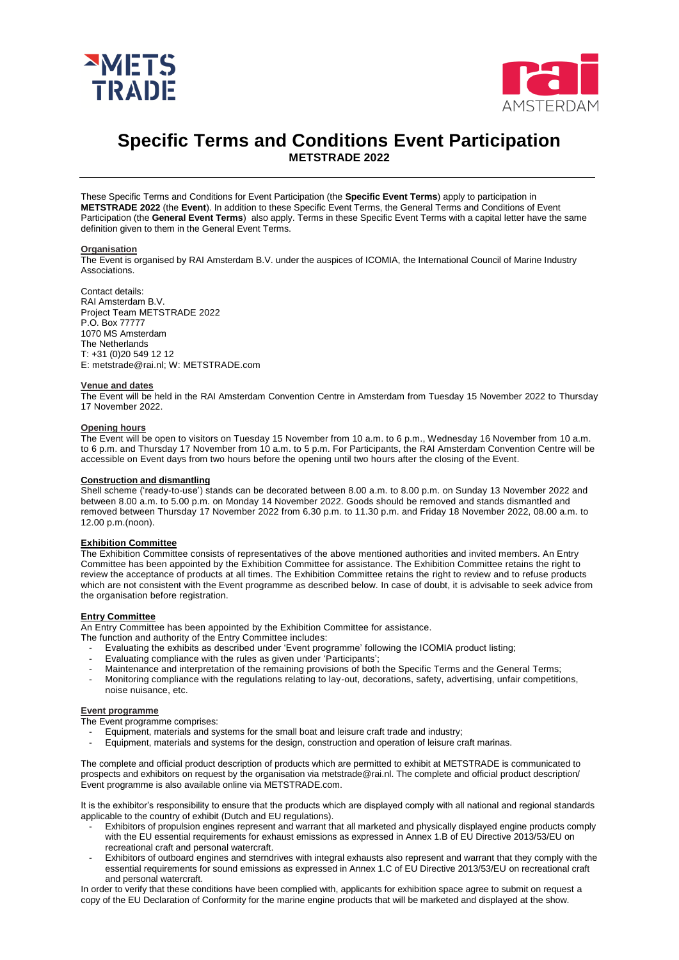



# **Specific Terms and Conditions Event Participation METSTRADE 2022**

These Specific Terms and Conditions for Event Participation (the **Specific Event Terms**) apply to participation in **METSTRADE 2022** (the **Event**). In addition to these Specific Event Terms, the General Terms and Conditions of Event Participation (the **General Event Terms**) also apply. Terms in these Specific Event Terms with a capital letter have the same definition given to them in the General Event Terms.

#### **Organisation**

The Event is organised by RAI Amsterdam B.V. under the auspices of ICOMIA, the International Council of Marine Industry Associations.

Contact details: RAI Amsterdam B.V. Project Team METSTRADE 2022 P.O. Box 77777 1070 MS Amsterdam The Netherlands T: +31 (0)20 549 12 12 E: metstrade@rai.nl; W: METSTRADE.com

# **Venue and dates**

The Event will be held in the RAI Amsterdam Convention Centre in Amsterdam from Tuesday 15 November 2022 to Thursday 17 November 2022.

#### **Opening hours**

The Event will be open to visitors on Tuesday 15 November from 10 a.m. to 6 p.m., Wednesday 16 November from 10 a.m. to 6 p.m. and Thursday 17 November from 10 a.m. to 5 p.m. For Participants, the RAI Amsterdam Convention Centre will be accessible on Event days from two hours before the opening until two hours after the closing of the Event.

#### **Construction and dismantling**

Shell scheme ('ready-to-use') stands can be decorated between 8.00 a.m. to 8.00 p.m. on Sunday 13 November 2022 and between 8.00 a.m. to 5.00 p.m. on Monday 14 November 2022. Goods should be removed and stands dismantled and removed between Thursday 17 November 2022 from 6.30 p.m. to 11.30 p.m. and Friday 18 November 2022, 08.00 a.m. to 12.00 p.m.(noon).

# **Exhibition Committee**

The Exhibition Committee consists of representatives of the above mentioned authorities and invited members. An Entry Committee has been appointed by the Exhibition Committee for assistance. The Exhibition Committee retains the right to review the acceptance of products at all times. The Exhibition Committee retains the right to review and to refuse products which are not consistent with the Event programme as described below. In case of doubt, it is advisable to seek advice from the organisation before registration.

# **Entry Committee**

An Entry Committee has been appointed by the Exhibition Committee for assistance.

- The function and authority of the Entry Committee includes:
	- Evaluating the exhibits as described under 'Event programme' following the ICOMIA product listing;
	- Evaluating compliance with the rules as given under 'Participants';
	- Maintenance and interpretation of the remaining provisions of both the Specific Terms and the General Terms;
	- Monitoring compliance with the regulations relating to lay-out, decorations, safety, advertising, unfair competitions, noise nuisance, etc.

#### **Event programme**

The Event programme comprises:

- Equipment, materials and systems for the small boat and leisure craft trade and industry;
- Equipment, materials and systems for the design, construction and operation of leisure craft marinas.

The complete and official product description of products which are permitted to exhibit at METSTRADE is communicated to prospects and exhibitors on request by the organisation via metstrade@rai.nl. The complete and official product description/ Event programme is also available online via METSTRADE.com.

It is the exhibitor's responsibility to ensure that the products which are displayed comply with all national and regional standards applicable to the country of exhibit (Dutch and EU regulations).

- Exhibitors of propulsion engines represent and warrant that all marketed and physically displayed engine products comply with the EU essential requirements for exhaust emissions as expressed in Annex 1.B of EU Directive 2013/53/EU on recreational craft and personal watercraft.
- Exhibitors of outboard engines and sterndrives with integral exhausts also represent and warrant that they comply with the essential requirements for sound emissions as expressed in Annex 1.C of EU Directive 2013/53/EU on recreational craft and personal watercraft.

In order to verify that these conditions have been complied with, applicants for exhibition space agree to submit on request a copy of the EU Declaration of Conformity for the marine engine products that will be marketed and displayed at the show.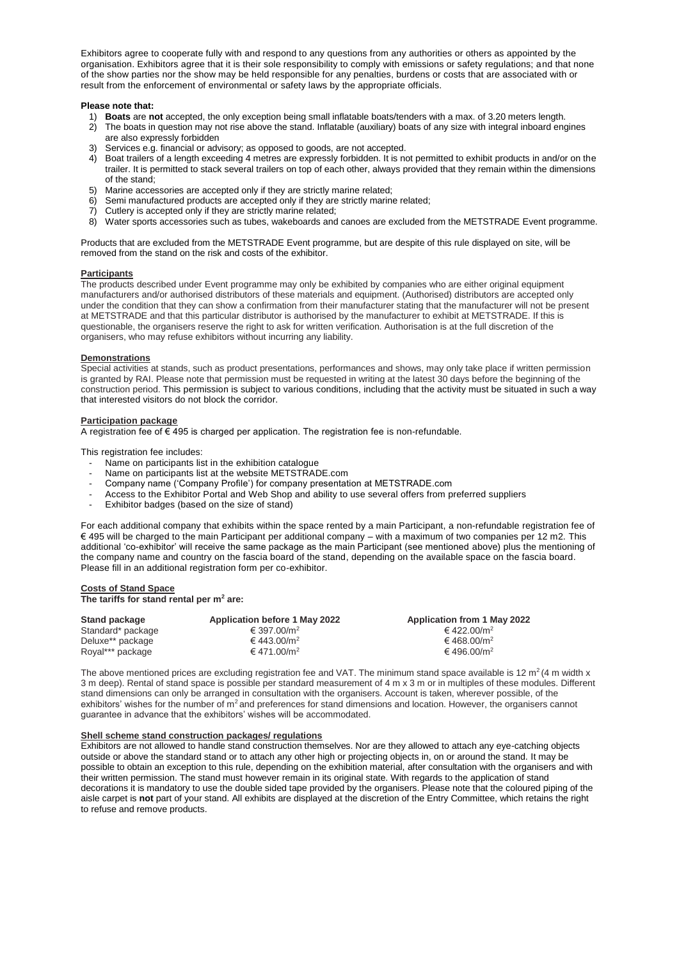Exhibitors agree to cooperate fully with and respond to any questions from any authorities or others as appointed by the organisation. Exhibitors agree that it is their sole responsibility to comply with emissions or safety regulations; and that none of the show parties nor the show may be held responsible for any penalties, burdens or costs that are associated with or result from the enforcement of environmental or safety laws by the appropriate officials.

#### **Please note that:**

- 1) **Boats** are **not** accepted, the only exception being small inflatable boats/tenders with a max. of 3.20 meters length.
- 2) The boats in question may not rise above the stand. Inflatable (auxiliary) boats of any size with integral inboard engines are also expressly forbidden
- 3) Services e.g. financial or advisory; as opposed to goods, are not accepted.
- 4) Boat trailers of a length exceeding 4 metres are expressly forbidden. It is not permitted to exhibit products in and/or on the trailer. It is permitted to stack several trailers on top of each other, always provided that they remain within the dimensions of the stand;
- 5) Marine accessories are accepted only if they are strictly marine related;
- 6) Semi manufactured products are accepted only if they are strictly marine related;
- 7) Cutlery is accepted only if they are strictly marine related;
- 8) Water sports accessories such as tubes, wakeboards and canoes are excluded from the METSTRADE Event programme.

Products that are excluded from the METSTRADE Event programme, but are despite of this rule displayed on site, will be removed from the stand on the risk and costs of the exhibitor.

#### **Participants**

The products described under Event programme may only be exhibited by companies who are either original equipment manufacturers and/or authorised distributors of these materials and equipment. (Authorised) distributors are accepted only under the condition that they can show a confirmation from their manufacturer stating that the manufacturer will not be present at METSTRADE and that this particular distributor is authorised by the manufacturer to exhibit at METSTRADE. If this is questionable, the organisers reserve the right to ask for written verification. Authorisation is at the full discretion of the organisers, who may refuse exhibitors without incurring any liability.

#### **Demonstrations**

Special activities at stands, such as product presentations, performances and shows, may only take place if written permission is granted by RAI. Please note that permission must be requested in writing at the latest 30 days before the beginning of the construction period. This permission is subject to various conditions, including that the activity must be situated in such a way that interested visitors do not block the corridor.

#### **Participation package**

A registration fee of  $\epsilon$  495 is charged per application. The registration fee is non-refundable.

This registration fee includes:

- Name on participants list in the exhibition catalogue
- Name on participants list at the website METSTRADE.com
- Company name ('Company Profile') for company presentation at METSTRADE.com
- Access to the Exhibitor Portal and Web Shop and ability to use several offers from preferred suppliers
- Exhibitor badges (based on the size of stand)

For each additional company that exhibits within the space rented by a main Participant, a non-refundable registration fee of € 495 will be charged to the main Participant per additional company – with a maximum of two companies per 12 m2. This additional 'co-exhibitor' will receive the same package as the main Participant (see mentioned above) plus the mentioning of the company name and country on the fascia board of the stand, depending on the available space on the fascia board. Please fill in an additional registration form per co-exhibitor.

#### **Costs of Stand Space**

**The tariffs for stand rental per m<sup>2</sup> are:**

| Stand package     | <b>Application before 1 May 2022</b> | <b>Application from 1 May 2022</b> |
|-------------------|--------------------------------------|------------------------------------|
| Standard* package | € 397.00/m <sup>2</sup>              | € 422.00/m <sup>2</sup>            |
| Deluxe** package  | € 443.00/m <sup>2</sup>              | € 468.00/m <sup>2</sup>            |
| Royal*** package  | € 471.00/m <sup>2</sup>              | € 496.00/m <sup>2</sup>            |

The above mentioned prices are excluding registration fee and VAT. The minimum stand space available is 12  $m^2(4 \text{ m}$  width x 3 m deep). Rental of stand space is possible per standard measurement of 4 m x 3 m or in multiples of these modules. Different stand dimensions can only be arranged in consultation with the organisers. Account is taken, wherever possible, of the exhibitors' wishes for the number of m<sup>2</sup> and preferences for stand dimensions and location. However, the organisers cannot guarantee in advance that the exhibitors' wishes will be accommodated.

#### **Shell scheme stand construction packages/ regulations**

Exhibitors are not allowed to handle stand construction themselves. Nor are they allowed to attach any eye-catching objects outside or above the standard stand or to attach any other high or projecting objects in, on or around the stand. It may be possible to obtain an exception to this rule, depending on the exhibition material, after consultation with the organisers and with their written permission. The stand must however remain in its original state. With regards to the application of stand decorations it is mandatory to use the double sided tape provided by the organisers. Please note that the coloured piping of the aisle carpet is **not** part of your stand. All exhibits are displayed at the discretion of the Entry Committee, which retains the right to refuse and remove products.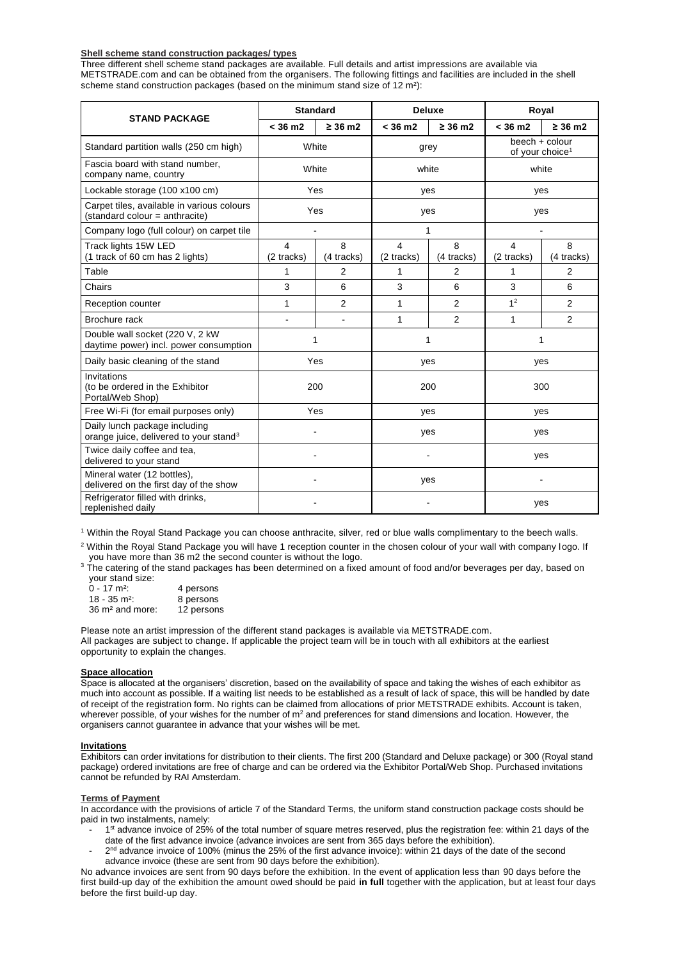# **Shell scheme stand construction packages/ types**

Three different shell scheme stand packages are available. Full details and artist impressions are available via METSTRADE.com and can be obtained from the organisers. The following fittings and facilities are included in the shell scheme stand construction packages (based on the minimum stand size of 12 m<sup>2</sup>):

|                                                                                     | <b>Standard</b> |                 | <b>Deluxe</b>     |                 | Royal                                         |                 |
|-------------------------------------------------------------------------------------|-----------------|-----------------|-------------------|-----------------|-----------------------------------------------|-----------------|
| <b>STAND PACKAGE</b>                                                                | < 36 m2         | $\geq 36$ m2    | $< 36 \text{ m2}$ | $\geq 36$ m2    | $< 36 \text{ m2}$                             | $\geq$ 36 m2    |
| Standard partition walls (250 cm high)                                              | White           |                 | grey              |                 | beech + colour<br>of your choice <sup>1</sup> |                 |
| Fascia board with stand number,<br>company name, country                            | White           |                 | white             |                 | white                                         |                 |
| Lockable storage (100 x100 cm)                                                      | Yes             |                 | yes               |                 | yes                                           |                 |
| Carpet tiles, available in various colours<br>(standard colour = anthracite)        | Yes             |                 | yes               |                 | yes                                           |                 |
| Company logo (full colour) on carpet tile                                           |                 |                 | 1                 |                 |                                               |                 |
| Track lights 15W LED<br>(1 track of 60 cm has 2 lights)                             | 4<br>(2 tracks) | 8<br>(4 tracks) | 4<br>(2 tracks)   | 8<br>(4 tracks) | 4<br>(2 tracks)                               | 8<br>(4 tracks) |
| Table                                                                               | 1               | 2               | 1                 | 2               | 1                                             | 2               |
| Chairs                                                                              | 3               | 6               | 3                 | 6               | 3                                             | 6               |
| Reception counter                                                                   | 1               | $\overline{2}$  | 1                 | $\overline{2}$  | 1 <sup>2</sup>                                | 2               |
| Brochure rack                                                                       |                 |                 | 1                 | 2               | 1                                             | 2               |
| Double wall socket (220 V, 2 kW)<br>daytime power) incl. power consumption          | 1               |                 | 1                 |                 | 1                                             |                 |
| Daily basic cleaning of the stand                                                   | Yes             |                 | yes               |                 | yes                                           |                 |
| Invitations<br>(to be ordered in the Exhibitor<br>Portal/Web Shop)                  | 200             |                 | 200               |                 | 300                                           |                 |
| Free Wi-Fi (for email purposes only)                                                | Yes             |                 | yes               |                 | yes                                           |                 |
| Daily lunch package including<br>orange juice, delivered to your stand <sup>3</sup> |                 |                 | yes               |                 | yes                                           |                 |
| Twice daily coffee and tea,<br>delivered to your stand                              |                 |                 |                   |                 | yes                                           |                 |
| Mineral water (12 bottles),<br>delivered on the first day of the show               |                 |                 | yes               |                 |                                               |                 |
| Refrigerator filled with drinks,<br>replenished daily                               |                 |                 |                   |                 | yes                                           |                 |

<sup>1</sup> Within the Royal Stand Package you can choose anthracite, silver, red or blue walls complimentary to the beech walls.

<sup>2</sup> Within the Royal Stand Package you will have 1 reception counter in the chosen colour of your wall with company logo. If you have more than 36 m2 the second counter is without the logo.

3 The catering of the stand packages has been determined on a fixed amount of food and/or beverages per day, based on your stand size:

| $0 - 17$ m <sup>2</sup> :   | 4 persons  |
|-----------------------------|------------|
| $18 - 35$ m <sup>2</sup> :  | 8 persons  |
| 36 m <sup>2</sup> and more: | 12 persons |

Please note an artist impression of the different stand packages is available via METSTRADE.com. All packages are subject to change. If applicable the project team will be in touch with all exhibitors at the earliest opportunity to explain the changes.

# **Space allocation**

Space is allocated at the organisers' discretion, based on the availability of space and taking the wishes of each exhibitor as much into account as possible. If a waiting list needs to be established as a result of lack of space, this will be handled by date of receipt of the registration form. No rights can be claimed from allocations of prior METSTRADE exhibits. Account is taken, wherever possible, of your wishes for the number of m<sup>2</sup> and preferences for stand dimensions and location. However, the organisers cannot guarantee in advance that your wishes will be met.

# **Invitations**

Exhibitors can order invitations for distribution to their clients. The first 200 (Standard and Deluxe package) or 300 (Royal stand package) ordered invitations are free of charge and can be ordered via the Exhibitor Portal/Web Shop. Purchased invitations cannot be refunded by RAI Amsterdam.

#### **Terms of Payment**

In accordance with the provisions of article 7 of the Standard Terms, the uniform stand construction package costs should be paid in two instalments, namely:

- <sup>-</sup> 1<sup>st</sup> advance invoice of 25% of the total number of square metres reserved, plus the registration fee: within 21 days of the date of the first advance invoice (advance invoices are sent from 365 days before the exhibition).
- 2<sup>nd</sup> advance invoice of 100% (minus the 25% of the first advance invoice): within 21 days of the date of the second advance invoice (these are sent from 90 days before the exhibition).

No advance invoices are sent from 90 days before the exhibition. In the event of application less than 90 days before the first build-up day of the exhibition the amount owed should be paid **in full** together with the application, but at least four days before the first build-up day.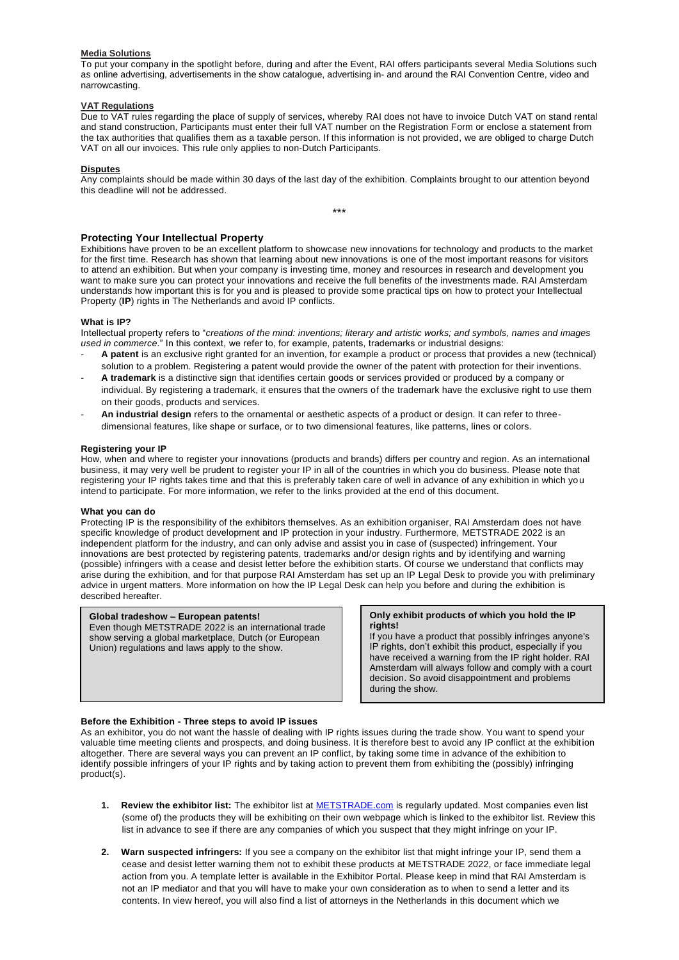#### **Media Solutions**

To put your company in the spotlight before, during and after the Event, RAI offers participants several Media Solutions such as online advertising, advertisements in the show catalogue, advertising in- and around the RAI Convention Centre, video and narrowcasting.

# **VAT Regulations**

Due to VAT rules regarding the place of supply of services, whereby RAI does not have to invoice Dutch VAT on stand rental and stand construction, Participants must enter their full VAT number on the Registration Form or enclose a statement from the tax authorities that qualifies them as a taxable person. If this information is not provided, we are obliged to charge Dutch VAT on all our invoices. This rule only applies to non-Dutch Participants.

#### **Disputes**

Any complaints should be made within 30 days of the last day of the exhibition. Complaints brought to our attention beyond this deadline will not be addressed.

\*\*\*

# **Protecting Your Intellectual Property**

Exhibitions have proven to be an excellent platform to showcase new innovations for technology and products to the market for the first time. Research has shown that learning about new innovations is one of the most important reasons for visitors to attend an exhibition. But when your company is investing time, money and resources in research and development you want to make sure you can protect your innovations and receive the full benefits of the investments made. RAI Amsterdam understands how important this is for you and is pleased to provide some practical tips on how to protect your Intellectual Property (**IP**) rights in The Netherlands and avoid IP conflicts.

# **What is IP?**

Intellectual property refers to "*creations of the mind: inventions; literary and artistic works; and symbols, names and images used in commerce*." In this context, we refer to, for example, patents, trademarks or industrial designs:

- **A patent** is an exclusive right granted for an invention, for example a product or process that provides a new (technical) solution to a problem. Registering a patent would provide the owner of the patent with protection for their inventions.
- **A trademark** is a distinctive sign that identifies certain goods or services provided or produced by a company or individual. By registering a trademark, it ensures that the owners of the trademark have the exclusive right to use them on their goods, products and services.
- **An industrial design** refers to the ornamental or aesthetic aspects of a product or design. It can refer to threedimensional features, like shape or surface, or to two dimensional features, like patterns, lines or colors.

# **Registering your IP**

How, when and where to register your innovations (products and brands) differs per country and region. As an international business, it may very well be prudent to register your IP in all of the countries in which you do business. Please note that registering your IP rights takes time and that this is preferably taken care of well in advance of any exhibition in which you intend to participate. For more information, we refer to the links provided at the end of this document.

# **What you can do**

Protecting IP is the responsibility of the exhibitors themselves. As an exhibition organiser, RAI Amsterdam does not have specific knowledge of product development and IP protection in your industry. Furthermore, METSTRADE 2022 is an independent platform for the industry, and can only advise and assist you in case of (suspected) infringement. Your innovations are best protected by registering patents, trademarks and/or design rights and by identifying and warning (possible) infringers with a cease and desist letter before the exhibition starts. Of course we understand that conflicts may arise during the exhibition, and for that purpose RAI Amsterdam has set up an IP Legal Desk to provide you with preliminary advice in urgent matters. More information on how the IP Legal Desk can help you before and during the exhibition is described hereafter.

# **Global tradeshow – European patents!**

Even though METSTRADE 2022 is an international trade show serving a global marketplace, Dutch (or European Union) regulations and laws apply to the show.

#### **Only exhibit products of which you hold the IP rights!**

If you have a product that possibly infringes anyone's IP rights, don't exhibit this product, especially if you have received a warning from the IP right holder. RAI Amsterdam will always follow and comply with a court decision. So avoid disappointment and problems during the show.

# **Before the Exhibition - Three steps to avoid IP issues**

As an exhibitor, you do not want the hassle of dealing with IP rights issues during the trade show. You want to spend your valuable time meeting clients and prospects, and doing business. It is therefore best to avoid any IP conflict at the exhibition altogether. There are several ways you can prevent an IP conflict, by taking some time in advance of the exhibition to identify possible infringers of your IP rights and by taking action to prevent them from exhibiting the (possibly) infringing product(s).

- **1. Review the exhibitor list:** The exhibitor list at [METSTRADE.com](http://www.metstrade.com/) is regularly updated. Most companies even list (some of) the products they will be exhibiting on their own webpage which is linked to the exhibitor list. Review this list in advance to see if there are any companies of which you suspect that they might infringe on your IP.
- **2. Warn suspected infringers:** If you see a company on the exhibitor list that might infringe your IP, send them a cease and desist letter warning them not to exhibit these products at METSTRADE 2022, or face immediate legal action from you. A template letter is available in the Exhibitor Portal. Please keep in mind that RAI Amsterdam is not an IP mediator and that you will have to make your own consideration as to when to send a letter and its contents. In view hereof, you will also find a list of attorneys in the Netherlands in this document which we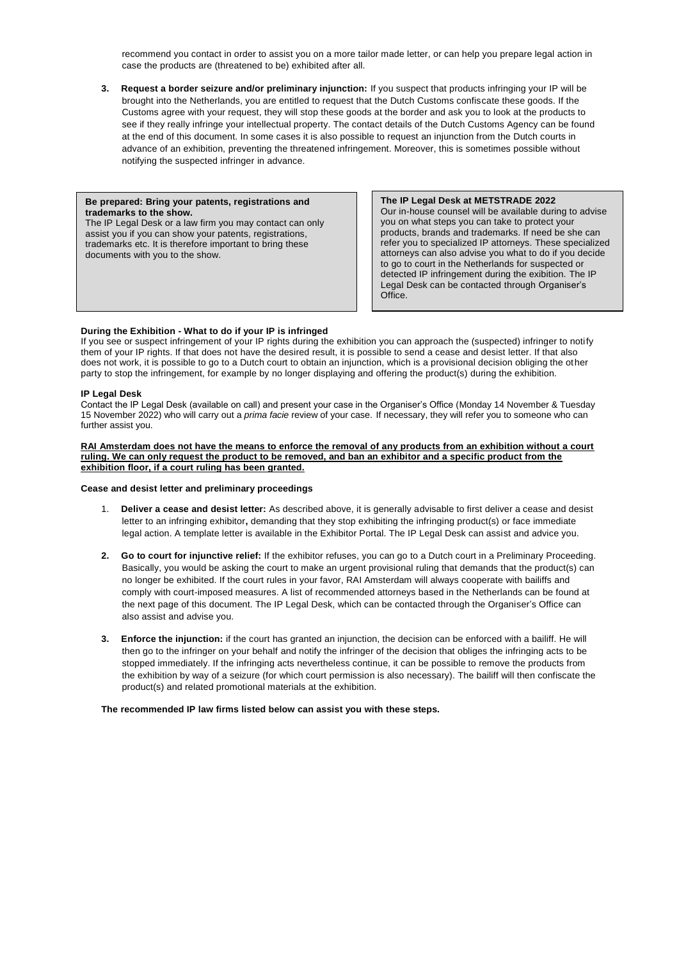recommend you contact in order to assist you on a more tailor made letter, or can help you prepare legal action in case the products are (threatened to be) exhibited after all.

**3. Request a border seizure and/or preliminary injunction:** If you suspect that products infringing your IP will be brought into the Netherlands, you are entitled to request that the Dutch Customs confiscate these goods. If the Customs agree with your request, they will stop these goods at the border and ask you to look at the products to see if they really infringe your intellectual property. The contact details of the Dutch Customs Agency can be found at the end of this document. In some cases it is also possible to request an injunction from the Dutch courts in advance of an exhibition, preventing the threatened infringement. Moreover, this is sometimes possible without notifying the suspected infringer in advance.

# **Be prepared: Bring your patents, registrations and trademarks to the show.**  The IP Legal Desk or a law firm you may contact can only

assist you if you can show your patents, registrations, trademarks etc. It is therefore important to bring these documents with you to the show.

**The IP Legal Desk at METSTRADE 2022** Our in-house counsel will be available during to advise you on what steps you can take to protect your products, brands and trademarks. If need be she can refer you to specialized IP attorneys. These specialized attorneys can also advise you what to do if you decide to go to court in the Netherlands for suspected or detected IP infringement during the exibition. The IP Legal Desk can be contacted through Organiser's Office.

# **During the Exhibition - What to do if your IP is infringed**

If you see or suspect infringement of your IP rights during the exhibition you can approach the (suspected) infringer to notify them of your IP rights. If that does not have the desired result, it is possible to send a cease and desist letter. If that also does not work, it is possible to go to a Dutch court to obtain an injunction, which is a provisional decision obliging the other party to stop the infringement, for example by no longer displaying and offering the product(s) during the exhibition.

# **IP Legal Desk**

Contact the IP Legal Desk (available on call) and present your case in the Organiser's Office (Monday 14 November & Tuesday 15 November 2022) who will carry out a *prima facie* review of your case. If necessary, they will refer you to someone who can further assist you.

**RAI Amsterdam does not have the means to enforce the removal of any products from an exhibition without a court ruling. We can only request the product to be removed, and ban an exhibitor and a specific product from the exhibition floor, if a court ruling has been granted.** 

# **Cease and desist letter and preliminary proceedings**

- 1. **Deliver a cease and desist letter:** As described above, it is generally advisable to first deliver a cease and desist letter to an infringing exhibitor**,** demanding that they stop exhibiting the infringing product(s) or face immediate legal action. A template letter is available in the Exhibitor Portal. The IP Legal Desk can assist and advice you.
- **2. Go to court for injunctive relief:** If the exhibitor refuses, you can go to a Dutch court in a Preliminary Proceeding. Basically, you would be asking the court to make an urgent provisional ruling that demands that the product(s) can no longer be exhibited. If the court rules in your favor, RAI Amsterdam will always cooperate with bailiffs and comply with court-imposed measures. A list of recommended attorneys based in the Netherlands can be found at the next page of this document. The IP Legal Desk, which can be contacted through the Organiser's Office can also assist and advise you.
- **3. Enforce the injunction:** if the court has granted an injunction, the decision can be enforced with a bailiff. He will then go to the infringer on your behalf and notify the infringer of the decision that obliges the infringing acts to be stopped immediately. If the infringing acts nevertheless continue, it can be possible to remove the products from the exhibition by way of a seizure (for which court permission is also necessary). The bailiff will then confiscate the product(s) and related promotional materials at the exhibition.

**The recommended IP law firms listed below can assist you with these steps.**